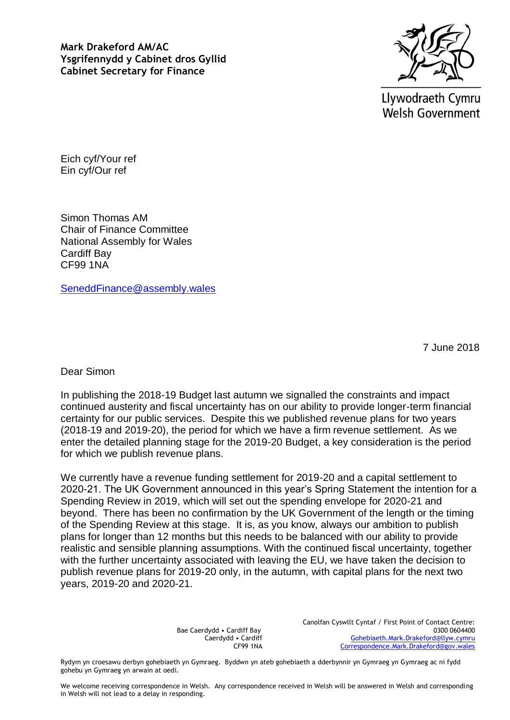**Mark Drakeford AM/AC Ysgrifennydd y Cabinet dros Gyllid Cabinet Secretary for Finance**



Llywodraeth Cymru **Welsh Government** 

Eich cyf/Your ref Ein cyf/Our ref

Simon Thomas AM Chair of Finance Committee National Assembly for Wales Cardiff Bay CF99 1NA

[SeneddFinance@assembly.wales](mailto:SeneddFinance@assembly.wales)

7 June 2018

Dear Simon

In publishing the 2018-19 Budget last autumn we signalled the constraints and impact continued austerity and fiscal uncertainty has on our ability to provide longer-term financial certainty for our public services. Despite this we published revenue plans for two years (2018-19 and 2019-20), the period for which we have a firm revenue settlement. As we enter the detailed planning stage for the 2019-20 Budget, a key consideration is the period for which we publish revenue plans.

We currently have a revenue funding settlement for 2019-20 and a capital settlement to 2020-21. The UK Government announced in this year's Spring Statement the intention for a Spending Review in 2019, which will set out the spending envelope for 2020-21 and beyond. There has been no confirmation by the UK Government of the length or the timing of the Spending Review at this stage. It is, as you know, always our ambition to publish plans for longer than 12 months but this needs to be balanced with our ability to provide realistic and sensible planning assumptions. With the continued fiscal uncertainty, together with the further uncertainty associated with leaving the EU, we have taken the decision to publish revenue plans for 2019-20 only, in the autumn, with capital plans for the next two years, 2019-20 and 2020-21.

> Bae Caerdydd • Cardiff Bay Caerdydd • Cardiff CF99 1NA

Canolfan Cyswllt Cyntaf / First Point of Contact Centre: 0300 0604400 [Gohebiaeth.Mark.Drakeford@llyw.cymru](mailto:Gohebiaeth.Mark.Drakeford@llyw.cymru) [Correspondence.Mark.Drakeford@gov.wales](mailto:Correspondence.Mark.Drakeford@gov.wales)

Rydym yn croesawu derbyn gohebiaeth yn Gymraeg. Byddwn yn ateb gohebiaeth a dderbynnir yn Gymraeg yn Gymraeg ac ni fydd gohebu yn Gymraeg yn arwain at oedi.

We welcome receiving correspondence in Welsh. Any correspondence received in Welsh will be answered in Welsh and corresponding in Welsh will not lead to a delay in responding.